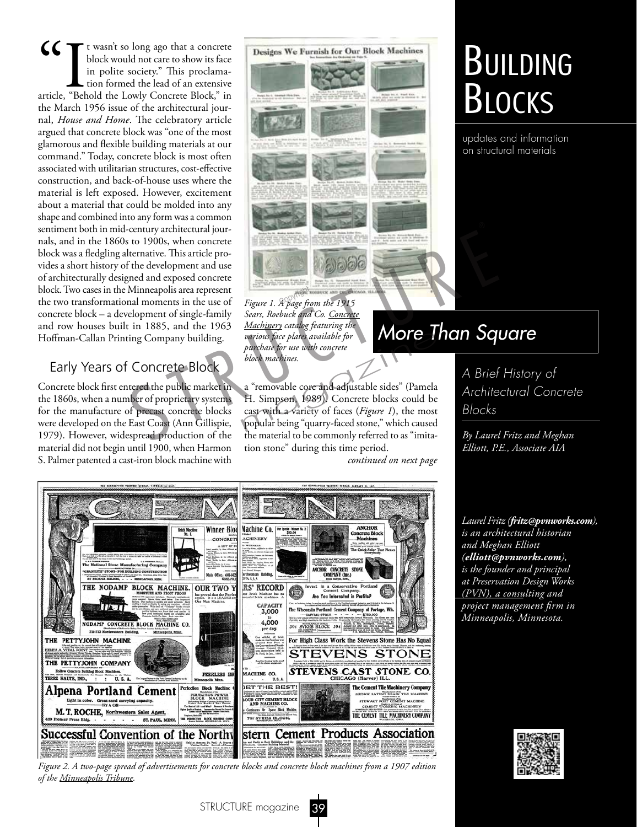CC It wasn't so long ago that a concrete block would not care to show its face in polite society." This proclamatricle, "Behold the Lowly Concrete Block," in block would not care to show its face in polite society." This proclamation formed the lead of an extensive the March 1956 issue of the architectural journal, *House and Home*. The celebratory article argued that concrete block was "one of the most glamorous and flexible building materials at our command." Today, concrete block is most often associated with utilitarian structures, cost-effective construction, and back-of-house uses where the material is left exposed. However, excitement about a material that could be molded into any shape and combined into any form was a common sentiment both in mid-century architectural journals, and in the 1860s to 1900s, when concrete block was a fledgling alternative. This article provides a short history of the development and use of architecturally designed and exposed concrete block. Two cases in the Minneapolis area represent the two transformational moments in the use of concrete block – a development of single-family and row houses built in 1885, and the 1963 Hoffman-Callan Printing Company building.

#### Early Years of Concrete Block

Concrete block first entered the public market in the 1860s, when a number of proprietary systems for the manufacture of precast concrete blocks were developed on the East Coast (Ann Gillispie, 1979). However, widespread production of the material did not begin until 1900, when Harmon S. Palmer patented a cast-iron block machine with



*Figure 1. A page from the 1915*  Copyright*Sears, Roebuck and Co. Concrete Machinery catalog featuring the various face plates available for purchase for use with concrete block machines.*

a "removable core and adjustable sides" (Pamela H. Simpson, 1989). Concrete blocks could be cast with a variety of faces (*Figure 1*), the most purchase for use with concrete<br>
purchase for use with concrete<br>
block machines.<br>
a "removable core and adjustable sides" (Pamela<br>
H. Simpson, 1989). Concrete blocks could be<br>
cast with a variety of faces (*Figure 1*), the the material to be commonly referred to as "imitation stone" during this time period.

*continued on next page*



*Figure 2. A two-page spread of advertisements for concrete blocks and concrete block machines from a 1907 edition of the Minneapolis Tribune.*

# Building **BLOCKS**

updates and information on structural materials

## *More Than Square*

*A Brief History of Architectural Concrete Blocks*

*By Laurel Fritz and Meghan Elliott, P.E., Associate AIA*

*Laurel Fritz (fritz@pvnworks.com), is an architectural historian and Meghan Elliott (elliott@pvnworks.com), is the founder and principal at Preservation Design Works (PVN), a consulting and project management firm in Minneapolis, Minnesota.*

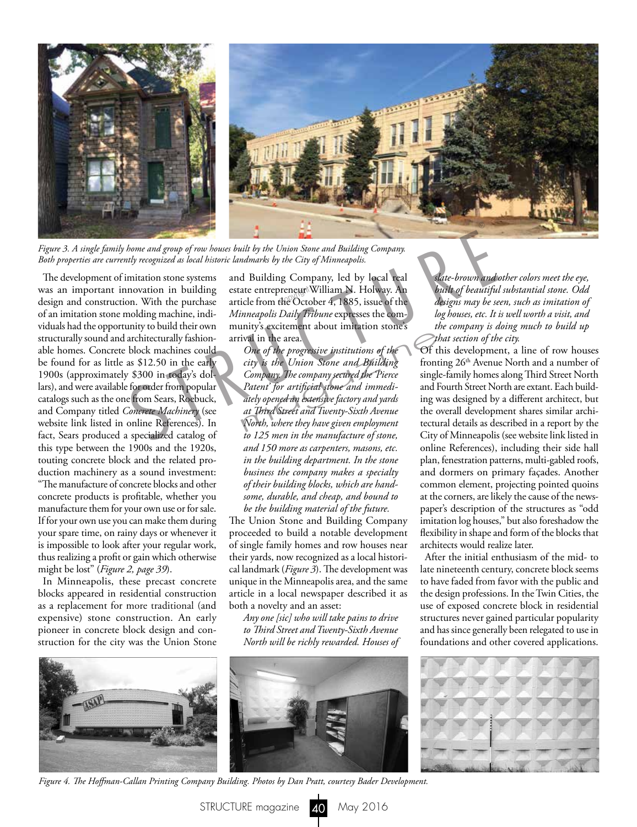

*Figure 3. A single family home and group of row houses built by the Union Stone and Building Company.* 

The development of imitation stone systems was an important innovation in building design and construction. With the purchase of an imitation stone molding machine, individuals had the opportunity to build their own structurally sound and architecturally fashionable homes. Concrete block machines could be found for as little as \$12.50 in the early 1900s (approximately \$300 in today's dollars), and were available for order from popular catalogs such as the one from Sears, Roebuck, and Company titled *Concrete Machinery* (see website link listed in online References). In fact, Sears produced a specialized catalog of this type between the 1900s and the 1920s, touting concrete block and the related production machinery as a sound investment: "The manufacture of concrete blocks and other concrete products is profitable, whether you *Bigure 3. A single family home and group of row houses built by the Union Stone and Building Company, Both properties are currently recognized as local historic landmarks by the City of Minneapolis.<br>
The development of im* 

manufacture them for your own use or for sale. If for your own use you can make them during your spare time, on rainy days or whenever it is impossible to look after your regular work, thus realizing a profit or gain which otherwise might be lost" (*Figure 2, page 39*).

In Minneapolis, these precast concrete blocks appeared in residential construction as a replacement for more traditional (and expensive) stone construction. An early pioneer in concrete block design and construction for the city was the Union Stone and Building Company, led by local real estate entrepreneur William N. Holway. An estate entrepreneur William N. Holway. An<br>article from the October 4, 1885, issue of the *Minneapolis Daily Tribune* expresses the community's excitement about imitation stone's arrival in the area.

*One of the progressive institutions of the city is the Union Stone and Building Company. The company secured the 'Pierce Patent' for artificial stone and immediately opened an extensive factory and yards at Third Street and Twenty-Sixth Avenue North, where they have given employment to 125 men in the manufacture of stone, and 150 more as carpenters, masons, etc. in the building department. In the stone business the company makes a specialty of their building blocks, which are handsome, durable, and cheap, and bound to be the building material of the future.* ival in the area.<br>  $\omega$  one of the progressive institutions of the<br>  $\omega$  of the Union Stone and Building<br>  $\omega$  from Company. The company secured the Pierce<br>  $\omega$  single<br>  $\Omega$  at  $\omega$  for artificial stone and immediately<br>

The Union Stone and Building Company proceeded to build a notable development of single family homes and row houses near their yards, now recognized as a local historical landmark (*Figure 3*). The development was unique in the Minneapolis area, and the same article in a local newspaper described it as both a novelty and an asset:

*Any one [sic] who will take pains to drive to Third Street and Twenty-Sixth Avenue North will be richly rewarded. Houses of* 



*Figure 4. The Hoffman-Callan Printing Company Building. Photos by Dan Pratt, courtesy Bader Development.*

*slate-brown and other colors meet the eye, built of beautiful substantial stone. Odd designs may be seen, such as imitation of log houses, etc. It is well worth a visit, and the company is doing much to build up that section of the city.*

Of this development, a line of row houses fronting 26<sup>th</sup> Avenue North and a number of single-family homes along Third Street North and Fourth Street North are extant. Each building was designed by a different architect, but the overall development shares similar architectural details as described in a report by the City of Minneapolis (see website link listed in online References), including their side hall plan, fenestration patterns, multi-gabled roofs, and dormers on primary façades. Another common element, projecting pointed quoins at the corners, are likely the cause of the newspaper's description of the structures as "odd imitation log houses," but also foreshadow the flexibility in shape and form of the blocks that architects would realize later.

After the initial enthusiasm of the mid- to late nineteenth century, concrete block seems to have faded from favor with the public and the design professions. In the Twin Cities, the use of exposed concrete block in residential structures never gained particular popularity and has since generally been relegated to use in foundations and other covered applications.